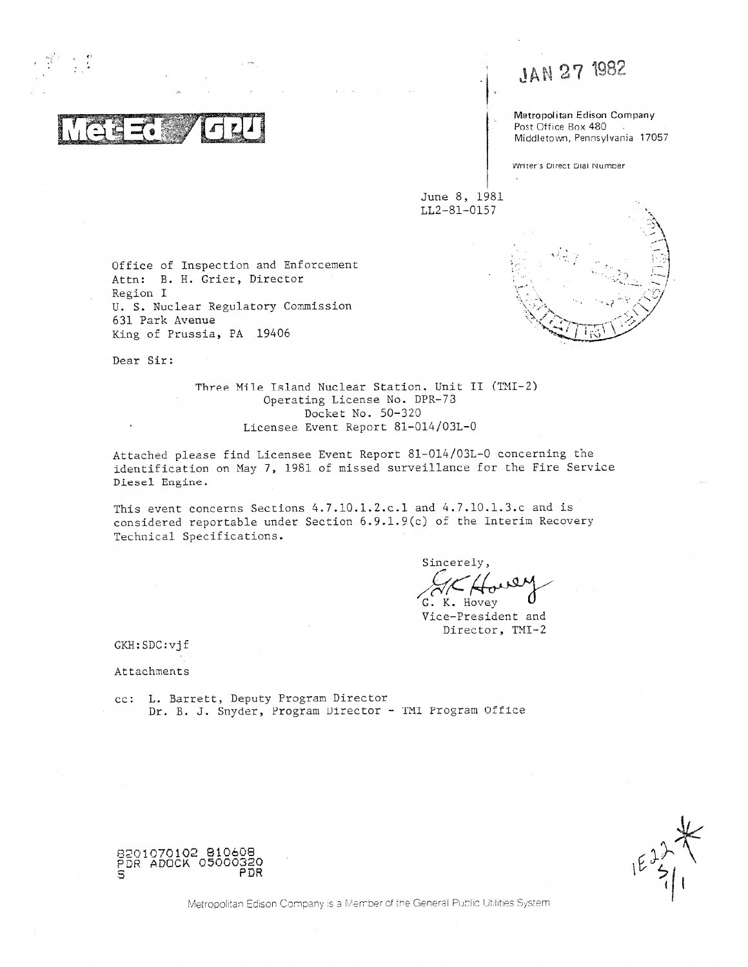**w** -f, n : **i e pa\_** '

 $\sigma$ 

, , , JAN 27 1982

Metropolitan Edison Company Post Office Box 480 Middletown, Pennsylvania 17057

Writer's Direct Dial Number

June 8, 1981 LL2-81-0157

Office of Inspection and Enforcement Attn: B. H. Grier, Director Region I U. S. Nuclear Regulatory Commission 631 Park Avenue King of Prussia, PA 19406

. . , , ,  $<$  0/

Dear Sir:

Three Mile Tsland Nuclear Station. Unit II (THI-2) Operating License No. DPR-73 Docket No. 50-320 Licensee Event Report 81-014/03L-0

Attached please find Licensee Event Report 81-014/03L-0 concerning the identification on May 7, 1981 of missed surveillance for the Fire Service Diesel Engine.

This event concerns Sections 4.7.10.1.2.c.1 and 4.7.10.1.3.c and is considered reportable under Section 6.9.1.9(c) of the interim Recovery Technical Specifications.

Sincerely Hovey

Vice-President and Director, TMI-2

GKH:SDC:vjf

Attachments

cc: L. Barrett, Deputy Program Director Dr. B. J. Snyder, Program Director - TMI Program Office

 $\frac{2}{3}$ 

8201070102 810608 PDR ADOCK 05000320<br>S

Metropolitan Edison Company is a Member of the General Public Utilities System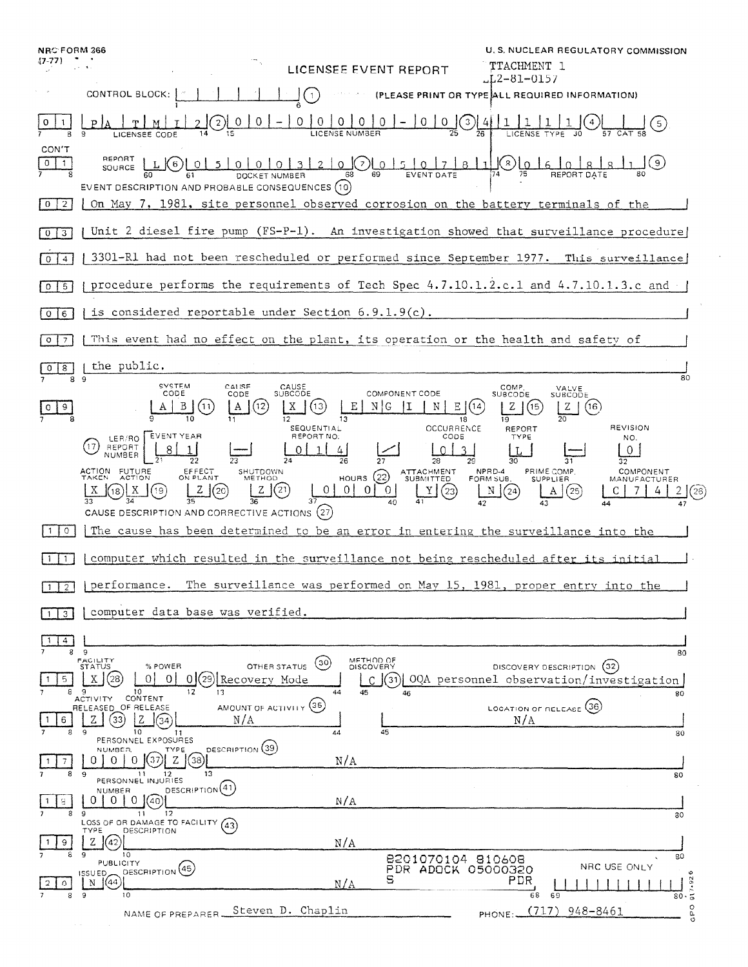| <b>NRC FORM 366</b>              |                                                                                                                                                                                                                                              | U.S. NUCLEAR REGULATORY COMMISSION                                                                         |
|----------------------------------|----------------------------------------------------------------------------------------------------------------------------------------------------------------------------------------------------------------------------------------------|------------------------------------------------------------------------------------------------------------|
|                                  | LICENSEE EVENT REPORT                                                                                                                                                                                                                        | TTACHMENT 1<br>LL2-81-0157.                                                                                |
|                                  | CONTROL BLOCK:<br>$\bigcirc$                                                                                                                                                                                                                 | (PLEASE PRINT OR TYPE ALL REQUIRED INFORMATION)                                                            |
|                                  | $\underbrace{0 \ 0 \ 0 \ 0 \ 0 \ 0}_{\text{LICENSE NUMBER}} - 0 \underline{0 \ 0 \ 0} \underline{0} \underline{4}$                                                                                                                           |                                                                                                            |
| CON'T<br>$0$   1                 | REPORT<br>LIGLOL5 0 0 0 0 1 3 1 2 1 0 Q 0 1 5 1 0 1 7 1 8 1 1<br>SOURCE<br>EVENT DESCRIPTION AND PROBABLE CONSEQUENCES (10)                                                                                                                  | <sub>ء</sub> ا ۾ا®ر                                                                                        |
| $\vert 0 \vert 2 \vert$          | On May 7, 1981, site personnel observed corrosion on the battery terminals of the                                                                                                                                                            |                                                                                                            |
| $\vert$ 3                        | Unit 2 diesel fire pump (FS-P-1). An investigation showed that surveillance procedure                                                                                                                                                        |                                                                                                            |
| $\overline{0}$<br>$\overline{4}$ | 3301-R1 had not been rescheduled or performed since September 1977. This surveillance                                                                                                                                                        |                                                                                                            |
| $0\sqrt{5}$                      | procedure performs the requirements of Tech Spec 4.7.10.1.2.c.1 and 4.7.10.1.3.c and                                                                                                                                                         |                                                                                                            |
| $0$   6                          | is considered reportable under Section $6.9.1.9(c)$ .                                                                                                                                                                                        |                                                                                                            |
| 7<br>$\circ$                     | This event had no effect on the plant, its operation or the health and safety of                                                                                                                                                             |                                                                                                            |
| 8<br>$\circ$                     | the public.<br>-9                                                                                                                                                                                                                            | 80                                                                                                         |
| 9                                | <b>SYSTEM</b><br>CALISE<br>CAUSE<br>COMPONENT CODE<br><b>SUBCODE</b><br><b>CODE</b><br>CODE<br>13<br>NIG<br>OCCURRENCE<br>SEQUENTIAL                                                                                                         | COMP.<br>VALVE<br>SUBCODE<br>SUBCODE<br>(16)<br><b>REVISION</b><br>REFORT                                  |
|                                  | LER/RO EVENT YEAR<br>REPORT NO.<br>CODE<br>REPORT<br>NUMBER                                                                                                                                                                                  | TYPE<br>NO.                                                                                                |
|                                  | ACTION FUTURE<br>EFFECT<br>ON PLANT<br>SHUTDOWN<br>ATTACHMENT<br>SUBMITTED<br>HOURS $(22)$<br>(21)<br>$\vert$ 0<br>$\vert 0 \vert$<br>$\vert$ 0<br>Z(20)<br> 0 <br>(23)<br>(19<br>Y<br>(18)<br>CAUSE DESCRIPTION AND CORRECTIVE ACTIONS (27) | NPRD-4<br>PRIME COMP.<br><b>COMPONENT</b><br>FORM SUB.<br>SUPPLIER<br>MANUFACTURER<br>(24)<br>(25)<br>(26) |
| 0                                | The cause has been determined to be an error in entering the surveillance into the                                                                                                                                                           |                                                                                                            |
| $\mathbf{1}$                     | computer which resulted in the surveillance not being rescheduled after its initial                                                                                                                                                          |                                                                                                            |
| $1$ [2]                          | The surveillance was performed on May 15, 1981, proper entry into the<br>performance.                                                                                                                                                        |                                                                                                            |
| 3                                | computer data base was verified.                                                                                                                                                                                                             |                                                                                                            |
| 4<br>-1<br>8                     | - 9                                                                                                                                                                                                                                          | 80                                                                                                         |
| 5<br>я                           | METHOD OF<br>DISCOVERY<br>FACILITY<br>(30)<br>% POWER<br>OTHER STATUS<br><b>STATUS</b><br>∩<br>0<br>Recovery Mode<br>C<br>31<br>9<br>10 <sup>10</sup><br>13<br>44<br>45<br>46                                                                | DISCOVERY DESCRIPTION<br>(32)<br>OQA personnel observation/investigation]<br>80                            |
| 6<br>я                           | CONTENT<br><b>ACTIVITY</b><br>AMOUNT OF ACTIVITY (35)<br>RELEASED OF RELEASE<br>Z<br>33<br>Z<br>N/A<br>34<br>45<br>9<br>10<br>44<br>11                                                                                                       | LOCATION OF RELEASE (36)<br>N/A<br>80                                                                      |
| 8                                | PERSONNEL EXPOSURES<br>DESCRIPTION (39<br>NUMBER.<br>TYPE<br>$Z \parallel$<br>0<br>$\Omega$<br>N/A<br>0<br>$\left[38\right]$<br>13<br>9<br>11                                                                                                | 80                                                                                                         |
| 8<br>8                           | PERSONNEL INJURIES<br>DESCRIPTION <sup>(41)</sup><br>NUMBER<br>$\overline{0}$<br>1(40)<br>0<br>0 <sup>1</sup><br>N/A<br>12                                                                                                                   |                                                                                                            |
| 9                                | 9<br>11<br>LOSS OF OR DAMAGE TO FACILITY<br>(43)<br>TYPE<br>DESCRIPTION<br>Ζ<br>'42<br>N/A                                                                                                                                                   | 30                                                                                                         |
| ∩                                | 10<br>q<br>8201070104 810608<br><b>PUBLICITY</b><br>DESCRIPTION <sup>(45)</sup><br>PDR ADOCK 05000320<br>ISSUED_<br>s<br>(44)<br>Ν<br>N/A                                                                                                    | 80<br>NRC USE ONLY<br>٠<br>PDR                                                                             |
|                                  | 9<br>10<br>Steven D. Chaplin                                                                                                                                                                                                                 | $\frac{1}{80}$ . 92<br>68<br>69<br>GPO<br>948-8461<br>(717)                                                |
|                                  | NAME OF PREPARER                                                                                                                                                                                                                             | PHONE:.                                                                                                    |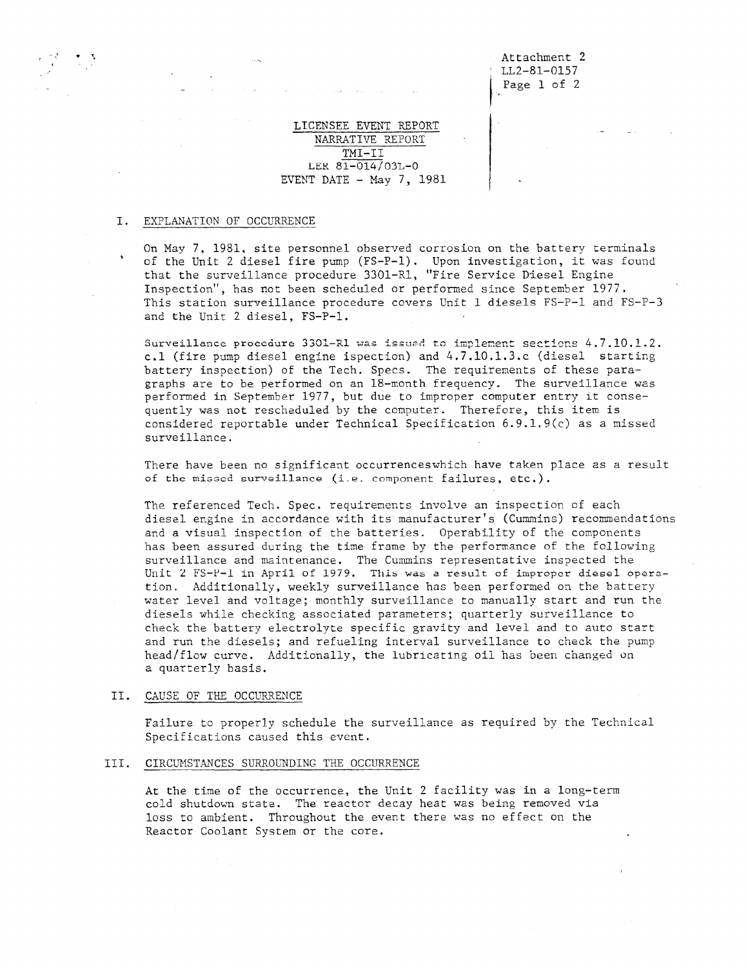# LICENSEE EVENT REPORT NARRATIVE REPORT TMI-II LEK 81-014/03L-0 EVENT DATE  $-$  May 7, 1981

## I. EXPLANATION OF OCCURRENCE

On May 7, 1981, site personnel observed corrosion on the battery terminals of the Unit 2 diesel fire pump (FS-P-1). Upon investigation, it was found that the surveillance procedure 3301-R1, "Fire Service Diesel Engine Inspection", has not been scheduled or performed since September 1977. This station surveillance procedure covers Unit 1 diesels FS-P-1 and FS-P-3 and the Unit 2 diesel, FS-P-1.

Surveillance procedure 3301-R1 was issued to implement sections  $4.7. 10.1.2$ . c.1 (fire pump diesel engine ispection) and 4.7.10.1.3.c (diesel starting battery inspection) of the Tech. Specs. The requirements of these paragraphs are to be performed on an 18-month frequency. The surveillance was performed in September 1977, but due to improper computer entry it consequently was not rescheduled by the computer. Therefore, this item is considered reportable under Technical Specification 6.9.1.9(c) as a missed surveillance.

There have been no significant occurrenceswhich have taken place as a result of the missed surveillance (i.e. component failures, etc.).

The referenced Tech. Spec. requirements involve an inspection cf each diesel engine in accordance with its manufacturer's (Cummins) recommendations and a visual inspection of the batteries. Operability of the components has been assured during the time frame by the performance of the following surveillance and maintenance. The Cummins representative inspected the Unit 2 FS-P-1 in April of 1979. This was a result of improper diesel operation. Additionally, weekly surveillance has been performed on the battery water level and voltage; monthly surveillance to manually start and run the diesels while checking associated parameters; quarterly surveillance to check the battery electrolyte specific gravity and level and to auto start and run the diesels; and refueling interval surveillance to check the pump head/flow curve. Additionally, the lubricating oil has been changed on a quarterly basis.

### II. CAUSE OF THE OCCURRENCE

Failure to properly schedule the surveillance as required by the Technical Specifications caused this event.

#### III. CIRCUMSTANCES SURROUNDING THE OCCURRENCE

At the time of the occurrence, the Unit 2 facility was in a long-term cold shutdown state. The reactor decay heat was being removed via loss to ambient. Throughout the event there was no effect on the Reactor Coolant System or the core.